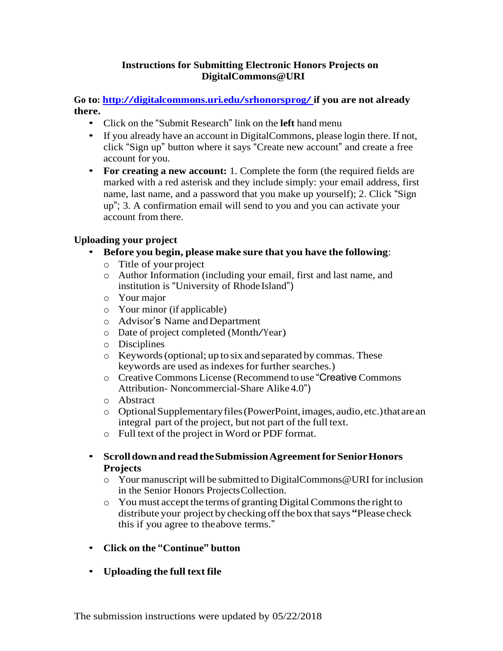## **Instructions for Submitting Electronic Honors Projects on DigitalCommons@URI**

**Go to: <http://digitalcommons.uri.edu/srhonorsprog/> if you are not already there.**

- Click on the "Submit Research" link on the **left** hand menu
- If you already have an account in DigitalCommons, please login there. If not, click "Sign up" button where it says "Create new account" and create a free account for you.
- **For creating a new account:** 1. Complete the form (the required fields are marked with a red asterisk and they include simply: your email address, first name, last name, and a password that you make up yourself); 2. Click "Sign up"; 3. A confirmation email will send to you and you can activate your account from there.

## **Uploading your project**

- **Before you begin, please make sure that you have the following**:
	- o Title of your project
	- o Author Information (including your email, first and last name, and institution is "University of Rhode Island")
	- o Your major
	- o Your minor (if applicable)
	- o Advisor's Name andDepartment
	- <sup>o</sup> Date of project completed (Month/Year)
	- o Disciplines
	- o Keywords(optional; up to six and separated by commas. These keywords are used as indexes for further searches.)
	- o Creative Commons License (Recommend to use "Creative Commons Attribution- Noncommercial-Share Alike 4.0")
	- o Abstract
	- o OptionalSupplementaryfiles(PowerPoint,images, audio,etc.)thatarean integral part of the project, but not part of the full text.
	- o Full text of the project in Word or PDF format.
- **Scrolldownand readtheSubmissionAgreementforSeniorHonors Projects**
	- $\circ$  Your manuscript will be submitted to DigitalCommons @URI for inclusion in the Senior Honors ProjectsCollection.
	- o You must accept the terms of granting DigitalCommonsthe right to distribute your project by checking offthe box thatsays **"**Please check this if you agree to theabove terms."
- **Click on the "Continue" button**
- **Uploading the full text file**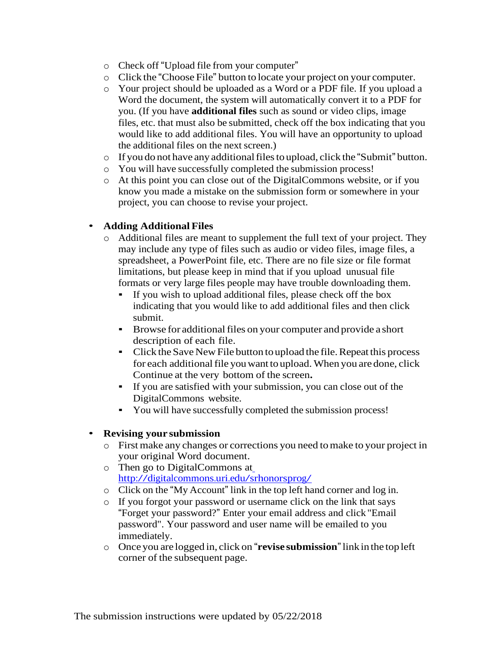- o Check off "Upload file from your computer"
- o Click the "Choose File" button to locate your project on your computer.
- o Your project should be uploaded as a Word or a PDF file. If you upload a Word the document, the system will automatically convert it to a PDF for you. (If you have **additional files** such as sound or video clips, image files, etc. that must also be submitted, check off the box indicating that you would like to add additional files. You will have an opportunity to upload the additional files on the next screen.)
- o If you do not have any additionalfilesto upload, click the "Submit" button.
- o You will have successfully completed the submission process!
- o At this point you can close out of the DigitalCommons website, or if you know you made a mistake on the submission form or somewhere in your project, you can choose to revise your project.

## • **Adding Additional Files**

- $\circ$  Additional files are meant to supplement the full text of your project. They may include any type of files such as audio or video files, image files, a spreadsheet, a PowerPoint file, etc. There are no file size or file format limitations, but please keep in mind that if you upload unusual file formats or very large files people may have trouble downloading them.
	- If you wish to upload additional files, please check off the box indicating that you would like to add additional files and then click submit.
	- **EXECUTE:** Browse for additional files on your computer and provide a short description of each file.
	- Click the Save New File button to upload the file. Repeat this process for each additional file you want to upload. When you are done, click Continue at the very bottom of the screen**.**
	- If you are satisfied with your submission, you can close out of the DigitalCommons website.
	- You will have successfully completed the submission process!

## • **Revising your submission**

- o First make any changes or corrections you need tomake to your project in your original Word document.
- o Then go to DigitalCommons at <http://digitalcommons.uri.edu/srhonorsprog/>
- o Click on the "My Account" link in the top left hand corner and log in.
- o If you forgot your password or username click on the link that says "Forget your password?" Enter your email address and click "Email password". Your password and user name will be emailed to you immediately.
- o Once you are logged in, click on "**revise submission**"linkin the top left corner of the subsequent page.